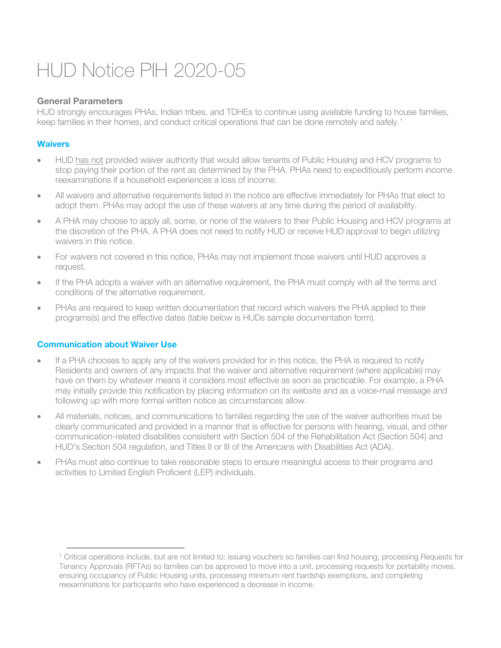# HUD Notice PIH 2020-05

# **General Parameters**

HUD strongly encourages PHAs, Indian tribes, and TDHEs to continue using available funding to house families, keep families in their homes, and conduct critical operations that can be done remotely and safely.<sup>[1](#page-0-0)</sup>

# **Waivers**

- HUD has not provided waiver authority that would allow tenants of Public Housing and HCV programs to stop paying their portion of the rent as determined by the PHA. PHAs need to expeditiously perform income reexaminations if a household experiences a loss of income.
- All waivers and alternative requirements listed in the notice are effective immediately for PHAs that elect to adopt them. PHAs may adopt the use of these waivers at any time during the period of availability.
- A PHA may choose to apply all, some, or none of the waivers to their Public Housing and HCV programs at the discretion of the PHA. A PHA does not need to notify HUD or receive HUD approval to begin utilizing waivers in this notice.
- For waivers not covered in this notice, PHAs may not implement those waivers until HUD approves a request.
- If the PHA adopts a waiver with an alternative requirement, the PHA must comply with all the terms and conditions of the alternative requirement.
- PHAs are required to keep written documentation that record which waivers the PHA applied to their programs(s) and the effective dates (table below is HUDs sample documentation form).

# **Communication about Waiver Use**

 $\overline{a}$ 

- If a PHA chooses to apply any of the waivers provided for in this notice, the PHA is required to notify Residents and owners of any impacts that the waiver and alternative requirement (where applicable) may have on them by whatever means it considers most effective as soon as practicable. For example, a PHA may initially provide this notification by placing information on its website and as a voice-mail message and following up with more formal written notice as circumstances allow.
- All materials, notices, and communications to families regarding the use of the waiver authorities must be clearly communicated and provided in a manner that is effective for persons with hearing, visual, and other communication-related disabilities consistent with Section 504 of the Rehabilitation Act (Section 504) and HUD's Section 504 regulation, and Titles II or III of the Americans with Disabilities Act (ADA).
- PHAs must also continue to take reasonable steps to ensure meaningful access to their programs and activities to Limited English Proficient (LEP) individuals.

<span id="page-0-0"></span><sup>1</sup> Critical operations include, but are not limited to: issuing vouchers so families can find housing, processing Requests for Tenancy Approvals (RFTAs) so families can be approved to move into a unit, processing requests for portability moves, ensuring occupancy of Public Housing units, processing minimum rent hardship exemptions, and completing reexaminations for participants who have experienced a decrease in income.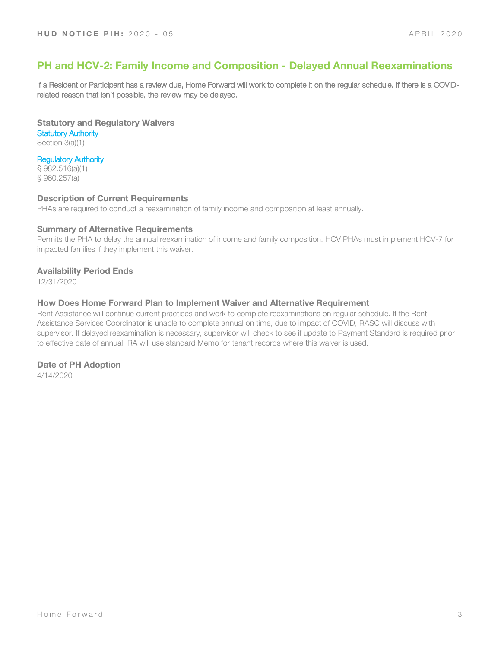# **PH and HCV-2: Family Income and Composition - Delayed Annual Reexaminations**

If a Resident or Participant has a review due, Home Forward will work to complete it on the regular schedule. If there is a COVIDrelated reason that isn't possible, the review may be delayed.

**Statutory and Regulatory Waivers Statutory Authority** 

Section 3(a)(1)

# Regulatory Authority

§ 982.516(a)(1) § 960.257(a)

#### **Description of Current Requirements**

PHAs are required to conduct a reexamination of family income and composition at least annually.

#### **Summary of Alternative Requirements**

Permits the PHA to delay the annual reexamination of income and family composition. HCV PHAs must implement HCV-7 for impacted families if they implement this waiver.

### **Availability Period Ends**

12/31/2020

### **How Does Home Forward Plan to Implement Waiver and Alternative Requirement**

Rent Assistance will continue current practices and work to complete reexaminations on regular schedule. If the Rent Assistance Services Coordinator is unable to complete annual on time, due to impact of COVID, RASC will discuss with supervisor. If delayed reexamination is necessary, supervisor will check to see if update to Payment Standard is required prior to effective date of annual. RA will use standard Memo for tenant records where this waiver is used.

# **Date of PH Adoption**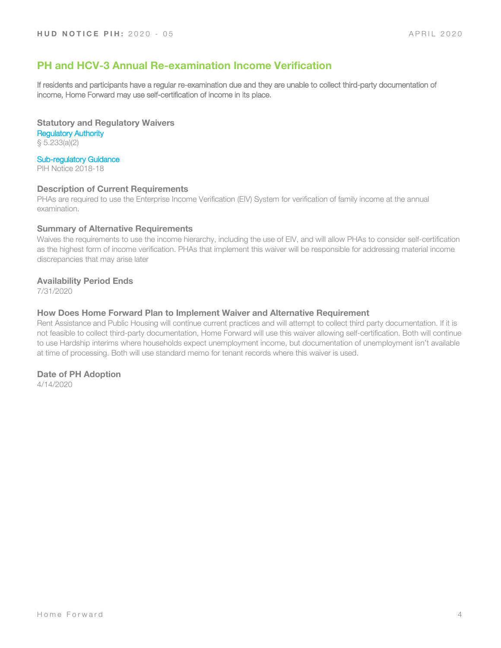# **PH and HCV-3 Annual Re-examination Income Verification**

If residents and participants have a regular re-examination due and they are unable to collect third-party documentation of income, Home Forward may use self-certification of income in its place.

**Statutory and Regulatory Waivers**

Regulatory Authority § 5.233(a)(2)

### Sub-regulatory Guidance

PIH Notice 2018-18

#### **Description of Current Requirements**

PHAs are required to use the Enterprise Income Verification (EIV) System for verification of family income at the annual examination.

#### **Summary of Alternative Requirements**

Waives the requirements to use the income hierarchy, including the use of EIV, and will allow PHAs to consider self-certification as the highest form of income verification. PHAs that implement this waiver will be responsible for addressing material income discrepancies that may arise later

### **Availability Period Ends**

7/31/2020

#### **How Does Home Forward Plan to Implement Waiver and Alternative Requirement**

Rent Assistance and Public Housing will continue current practices and will attempt to collect third party documentation. If it is not feasible to collect third-party documentation, Home Forward will use this waiver allowing self-certification. Both will continue to use Hardship interims where households expect unemployment income, but documentation of unemployment isn't available at time of processing. Both will use standard memo for tenant records where this waiver is used.

#### **Date of PH Adoption**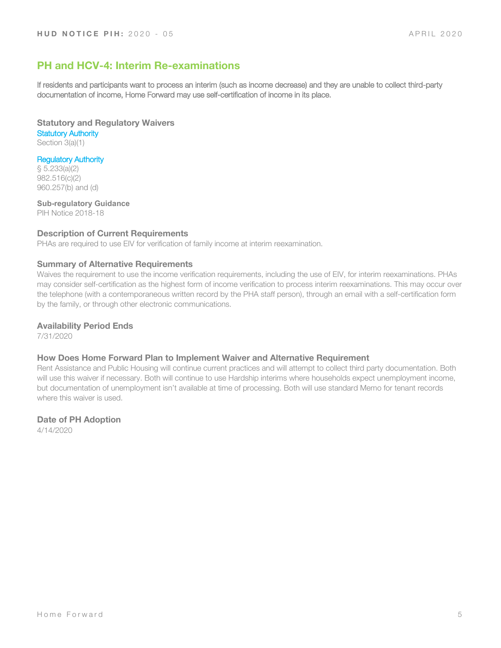# **PH and HCV-4: Interim Re-examinations**

If residents and participants want to process an interim (such as income decrease) and they are unable to collect third-party documentation of income, Home Forward may use self-certification of income in its place.

**Statutory and Regulatory Waivers Statutory Authority** Section 3(a)(1)

Regulatory Authority

§ 5.233(a)(2) 982.516(c)(2) 960.257(b) and (d)

**Sub-regulatory Guidance** PIH Notice 2018-18

### **Description of Current Requirements**

PHAs are required to use EIV for verification of family income at interim reexamination.

#### **Summary of Alternative Requirements**

Waives the requirement to use the income verification requirements, including the use of EIV, for interim reexaminations. PHAs may consider self-certification as the highest form of income verification to process interim reexaminations. This may occur over the telephone (with a contemporaneous written record by the PHA staff person), through an email with a self-certification form by the family, or through other electronic communications.

#### **Availability Period Ends**

7/31/2020

#### **How Does Home Forward Plan to Implement Waiver and Alternative Requirement**

Rent Assistance and Public Housing will continue current practices and will attempt to collect third party documentation. Both will use this waiver if necessary. Both will continue to use Hardship interims where households expect unemployment income, but documentation of unemployment isn't available at time of processing. Both will use standard Memo for tenant records where this waiver is used.

#### **Date of PH Adoption**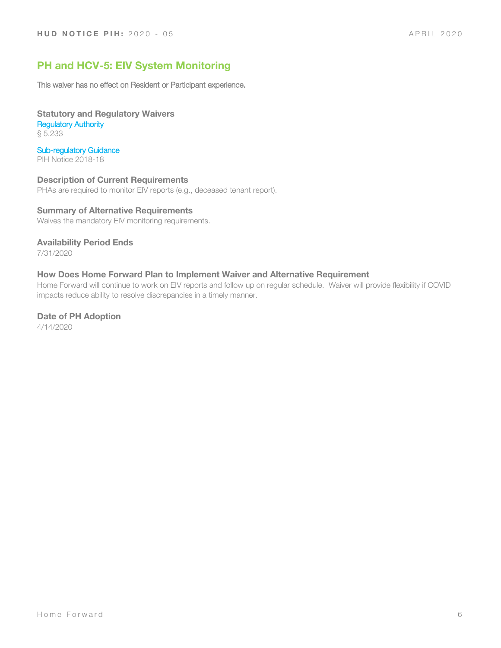# **PH and HCV-5: EIV System Monitoring**

This waiver has no effect on Resident or Participant experience.

**Statutory and Regulatory Waivers** Regulatory Authority § 5.233

Sub-regulatory Guidance

PIH Notice 2018-18

**Description of Current Requirements**

PHAs are required to monitor EIV reports (e.g., deceased tenant report).

# **Summary of Alternative Requirements**

Waives the mandatory EIV monitoring requirements.

### **Availability Period Ends**

7/31/2020

# **How Does Home Forward Plan to Implement Waiver and Alternative Requirement**

Home Forward will continue to work on EIV reports and follow up on regular schedule. Waiver will provide flexibility if COVID impacts reduce ability to resolve discrepancies in a timely manner.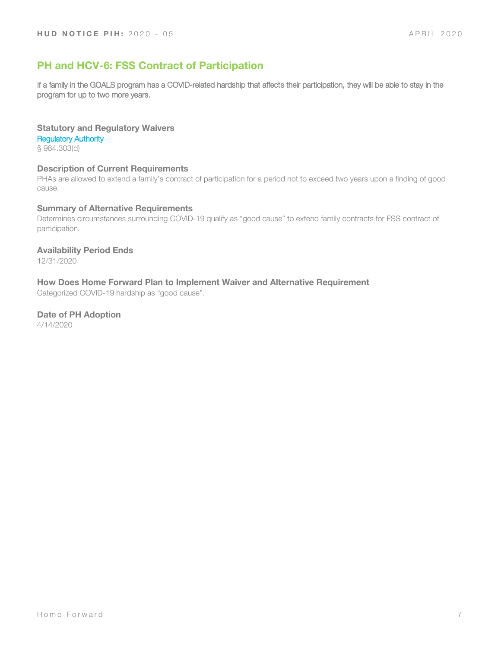# **PH and HCV-6: FSS Contract of Participation**

If a family in the GOALS program has a COVID-related hardship that affects their participation, they will be able to stay in the program for up to two more years.

### **Statutory and Regulatory Waivers**

#### Regulatory Authority

§ 984.303(d)

### **Description of Current Requirements**

PHAs are allowed to extend a family's contract of participation for a period not to exceed two years upon a finding of good cause.

### **Summary of Alternative Requirements**

Determines circumstances surrounding COVID-19 qualify as "good cause" to extend family contracts for FSS contract of participation.

### **Availability Period Ends**

12/31/2020

#### **How Does Home Forward Plan to Implement Waiver and Alternative Requirement**

Categorized COVID-19 hardship as "good cause".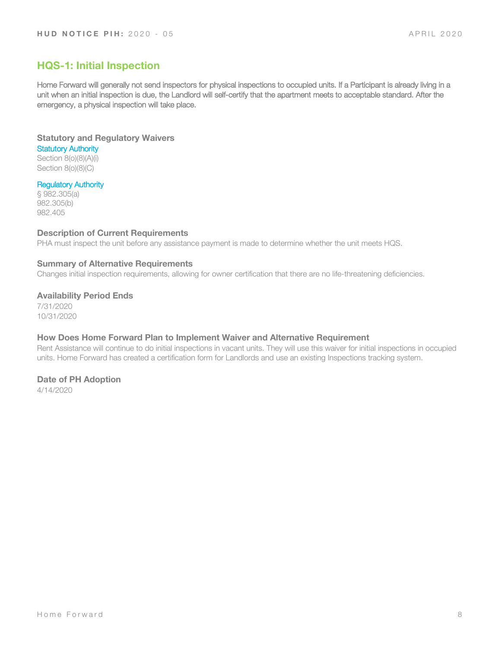# **HQS-1: Initial Inspection**

Home Forward will generally not send inspectors for physical inspections to occupied units. If a Participant is already living in a unit when an initial inspection is due, the Landlord will self-certify that the apartment meets to acceptable standard. After the emergency, a physical inspection will take place.

**Statutory and Regulatory Waivers**

**Statutory Authority** Section 8(o)(8)(A)(i) Section 8(o)(8)(C)

# Regulatory Authority

§ 982.305(a) 982.305(b) 982.405

### **Description of Current Requirements**

PHA must inspect the unit before any assistance payment is made to determine whether the unit meets HQS.

#### **Summary of Alternative Requirements**

Changes initial inspection requirements, allowing for owner certification that there are no life-threatening deficiencies.

### **Availability Period Ends**

7/31/2020 10/31/2020

### **How Does Home Forward Plan to Implement Waiver and Alternative Requirement**

Rent Assistance will continue to do initial inspections in vacant units. They will use this waiver for initial inspections in occupied units. Home Forward has created a certification form for Landlords and use an existing Inspections tracking system.

# **Date of PH Adoption**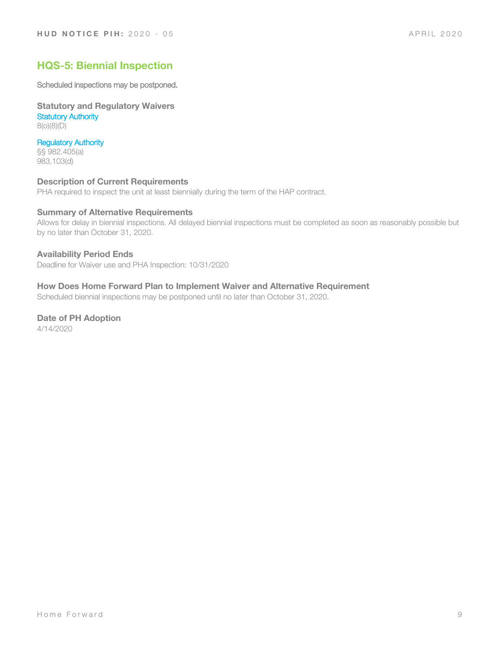# **HQS-5: Biennial Inspection**

Scheduled inspections may be postponed.

**Statutory and Regulatory Waivers Statutory Authority** 8(o)(8)(D)

Regulatory Authority §§ 982.405(a) 983.103(d)

#### **Description of Current Requirements**

PHA required to inspect the unit at least biennially during the term of the HAP contract.

### **Summary of Alternative Requirements**

Allows for delay in biennial inspections. All delayed biennial inspections must be completed as soon as reasonably possible but by no later than October 31, 2020.

#### **Availability Period Ends**

Deadline for Waiver use and PHA Inspection: 10/31/2020

# **How Does Home Forward Plan to Implement Waiver and Alternative Requirement**

Scheduled biennial inspections may be postponed until no later than October 31, 2020.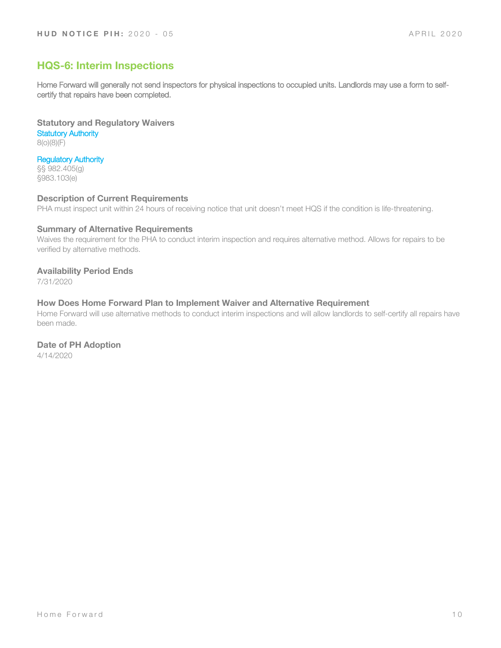# **HQS-6: Interim Inspections**

Home Forward will generally not send inspectors for physical inspections to occupied units. Landlords may use a form to selfcertify that repairs have been completed.

**Statutory and Regulatory Waivers Statutory Authority** 8(o)(8)(F)

Regulatory Authority

§§ 982.405(g) §983.103(e)

#### **Description of Current Requirements**

PHA must inspect unit within 24 hours of receiving notice that unit doesn't meet HQS if the condition is life-threatening.

# **Summary of Alternative Requirements**

Waives the requirement for the PHA to conduct interim inspection and requires alternative method. Allows for repairs to be verified by alternative methods.

#### **Availability Period Ends**

7/31/2020

#### **How Does Home Forward Plan to Implement Waiver and Alternative Requirement**

Home Forward will use alternative methods to conduct interim inspections and will allow landlords to self-certify all repairs have been made.

#### **Date of PH Adoption**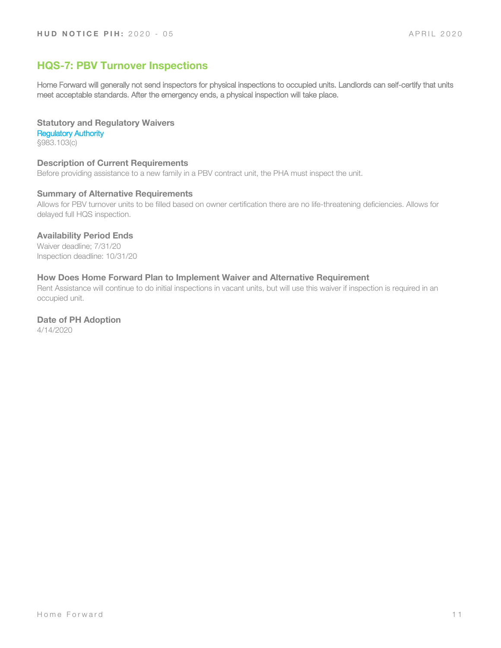# **HQS-7: PBV Turnover Inspections**

Home Forward will generally not send inspectors for physical inspections to occupied units. Landlords can self-certify that units meet acceptable standards. After the emergency ends, a physical inspection will take place.

# **Statutory and Regulatory Waivers**

Regulatory Authority §983.103(c)

# **Description of Current Requirements**

Before providing assistance to a new family in a PBV contract unit, the PHA must inspect the unit.

# **Summary of Alternative Requirements**

Allows for PBV turnover units to be filled based on owner certification there are no life-threatening deficiencies. Allows for delayed full HQS inspection.

### **Availability Period Ends**

Waiver deadline; 7/31/20 Inspection deadline: 10/31/20

# **How Does Home Forward Plan to Implement Waiver and Alternative Requirement**

Rent Assistance will continue to do initial inspections in vacant units, but will use this waiver if inspection is required in an occupied unit.

# **Date of PH Adoption**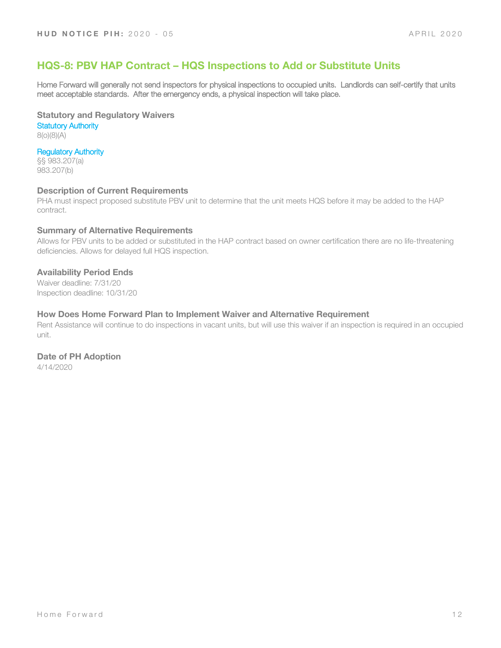# **HQS-8: PBV HAP Contract – HQS Inspections to Add or Substitute Units**

Home Forward will generally not send inspectors for physical inspections to occupied units. Landlords can self-certify that units meet acceptable standards. After the emergency ends, a physical inspection will take place.

**Statutory and Regulatory Waivers**

**Statutory Authority** 8(o)(8)(A)

# Regulatory Authority

§§ 983.207(a) 983.207(b)

#### **Description of Current Requirements**

PHA must inspect proposed substitute PBV unit to determine that the unit meets HQS before it may be added to the HAP contract.

#### **Summary of Alternative Requirements**

Allows for PBV units to be added or substituted in the HAP contract based on owner certification there are no life-threatening deficiencies. Allows for delayed full HQS inspection.

### **Availability Period Ends**

Waiver deadline: 7/31/20 Inspection deadline: 10/31/20

#### **How Does Home Forward Plan to Implement Waiver and Alternative Requirement**

Rent Assistance will continue to do inspections in vacant units, but will use this waiver if an inspection is required in an occupied unit.

# **Date of PH Adoption**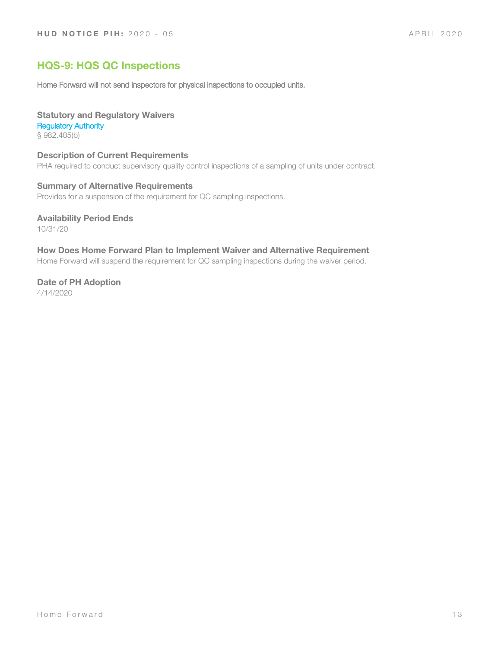# **HQS-9: HQS QC Inspections**

Home Forward will not send inspectors for physical inspections to occupied units.

#### **Statutory and Regulatory Waivers**

#### Regulatory Authority

§ 982.405(b)

# **Description of Current Requirements**

PHA required to conduct supervisory quality control inspections of a sampling of units under contract.

# **Summary of Alternative Requirements**

Provides for a suspension of the requirement for QC sampling inspections.

### **Availability Period Ends**

10/31/20

# **How Does Home Forward Plan to Implement Waiver and Alternative Requirement**

Home Forward will suspend the requirement for QC sampling inspections during the waiver period.

# **Date of PH Adoption**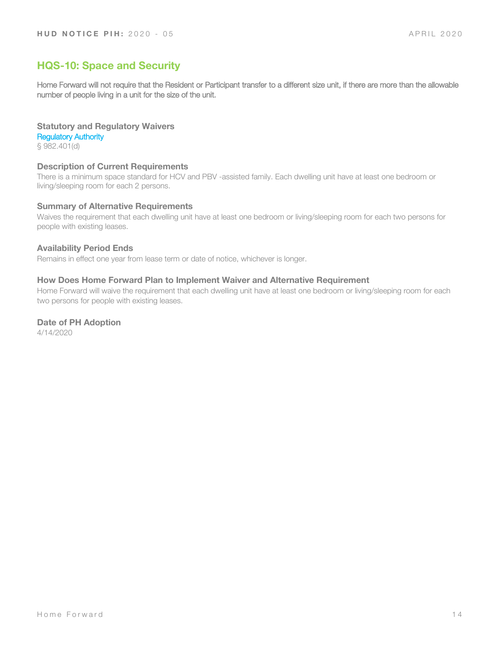# **HQS-10: Space and Security**

Home Forward will not require that the Resident or Participant transfer to a different size unit, if there are more than the allowable number of people living in a unit for the size of the unit.

#### **Statutory and Regulatory Waivers**

Regulatory Authority

§ 982.401(d)

#### **Description of Current Requirements**

There is a minimum space standard for HCV and PBV -assisted family. Each dwelling unit have at least one bedroom or living/sleeping room for each 2 persons.

#### **Summary of Alternative Requirements**

Waives the requirement that each dwelling unit have at least one bedroom or living/sleeping room for each two persons for people with existing leases.

#### **Availability Period Ends**

Remains in effect one year from lease term or date of notice, whichever is longer.

#### **How Does Home Forward Plan to Implement Waiver and Alternative Requirement**

Home Forward will waive the requirement that each dwelling unit have at least one bedroom or living/sleeping room for each two persons for people with existing leases.

#### **Date of PH Adoption**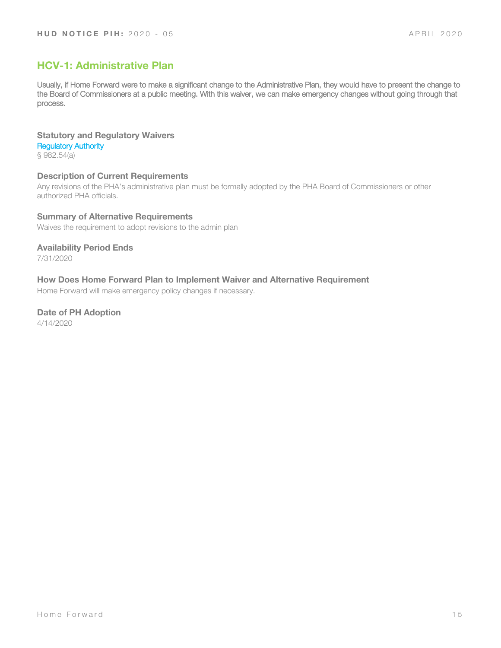# **HCV-1: Administrative Plan**

Usually, if Home Forward were to make a significant change to the Administrative Plan, they would have to present the change to the Board of Commissioners at a public meeting. With this waiver, we can make emergency changes without going through that process.

**Statutory and Regulatory Waivers** Regulatory Authority § 982.54(a)

#### **Description of Current Requirements**

Any revisions of the PHA's administrative plan must be formally adopted by the PHA Board of Commissioners or other authorized PHA officials.

**Summary of Alternative Requirements** Waives the requirement to adopt revisions to the admin plan

**Availability Period Ends** 7/31/2020

**How Does Home Forward Plan to Implement Waiver and Alternative Requirement**

Home Forward will make emergency policy changes if necessary.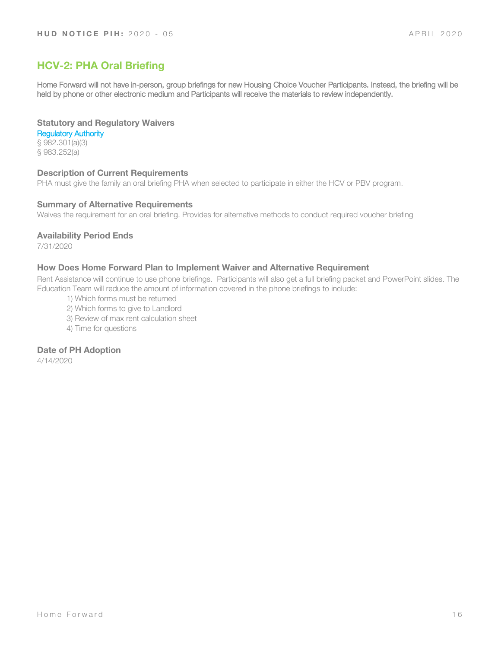# **HCV-2: PHA Oral Briefing**

Home Forward will not have in-person, group briefings for new Housing Choice Voucher Participants. Instead, the briefing will be held by phone or other electronic medium and Participants will receive the materials to review independently.

# **Statutory and Regulatory Waivers**

Regulatory Authority § 982.301(a)(3) § 983.252(a)

### **Description of Current Requirements**

PHA must give the family an oral briefing PHA when selected to participate in either the HCV or PBV program.

#### **Summary of Alternative Requirements**

Waives the requirement for an oral briefing. Provides for alternative methods to conduct required voucher briefing

### **Availability Period Ends**

7/31/2020

### **How Does Home Forward Plan to Implement Waiver and Alternative Requirement**

Rent Assistance will continue to use phone briefings. Participants will also get a full briefing packet and PowerPoint slides. The Education Team will reduce the amount of information covered in the phone briefings to include:

- 1) Which forms must be returned
- 2) Which forms to give to Landlord
- 3) Review of max rent calculation sheet
- 4) Time for questions

# **Date of PH Adoption**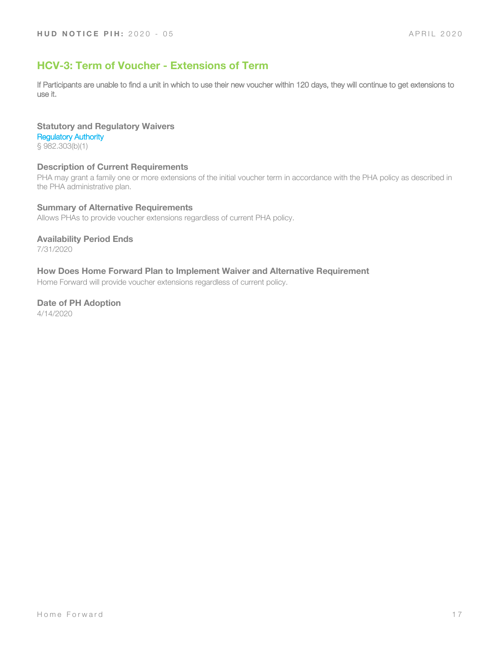# **HCV-3: Term of Voucher - Extensions of Term**

If Participants are unable to find a unit in which to use their new voucher within 120 days, they will continue to get extensions to use it.

# **Statutory and Regulatory Waivers** Regulatory Authority

§ 982.303(b)(1)

# **Description of Current Requirements**

PHA may grant a family one or more extensions of the initial voucher term in accordance with the PHA policy as described in the PHA administrative plan.

### **Summary of Alternative Requirements**

Allows PHAs to provide voucher extensions regardless of current PHA policy.

# **Availability Period Ends**

7/31/2020

# **How Does Home Forward Plan to Implement Waiver and Alternative Requirement**

Home Forward will provide voucher extensions regardless of current policy.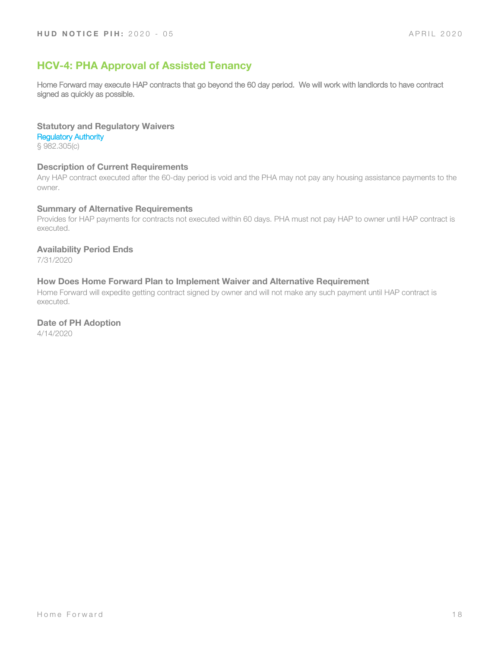# **HCV-4: PHA Approval of Assisted Tenancy**

Home Forward may execute HAP contracts that go beyond the 60 day period. We will work with landlords to have contract signed as quickly as possible.

#### **Statutory and Regulatory Waivers**

Regulatory Authority

§ 982.305(c)

#### **Description of Current Requirements**

Any HAP contract executed after the 60-day period is void and the PHA may not pay any housing assistance payments to the owner.

#### **Summary of Alternative Requirements**

Provides for HAP payments for contracts not executed within 60 days. PHA must not pay HAP to owner until HAP contract is executed.

#### **Availability Period Ends**

7/31/2020

# **How Does Home Forward Plan to Implement Waiver and Alternative Requirement**

Home Forward will expedite getting contract signed by owner and will not make any such payment until HAP contract is executed.

#### **Date of PH Adoption**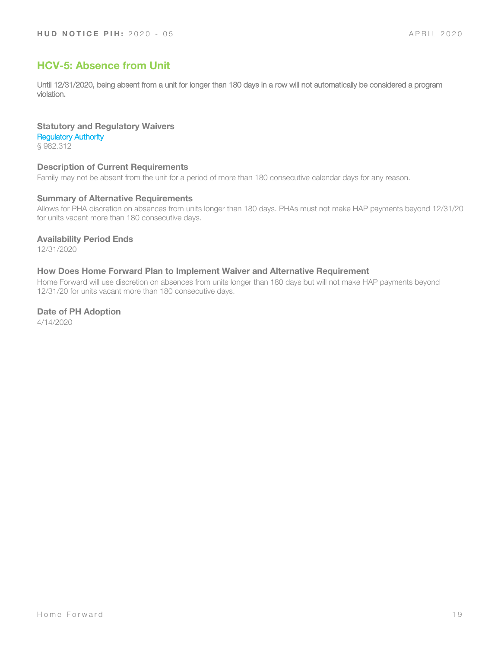# **HCV-5: Absence from Unit**

Until 12/31/2020, being absent from a unit for longer than 180 days in a row will not automatically be considered a program violation.

# **Statutory and Regulatory Waivers**

Regulatory Authority

§ 982.312

# **Description of Current Requirements**

Family may not be absent from the unit for a period of more than 180 consecutive calendar days for any reason.

# **Summary of Alternative Requirements**

Allows for PHA discretion on absences from units longer than 180 days. PHAs must not make HAP payments beyond 12/31/20 for units vacant more than 180 consecutive days.

### **Availability Period Ends**

12/31/2020

### **How Does Home Forward Plan to Implement Waiver and Alternative Requirement**

Home Forward will use discretion on absences from units longer than 180 days but will not make HAP payments beyond 12/31/20 for units vacant more than 180 consecutive days.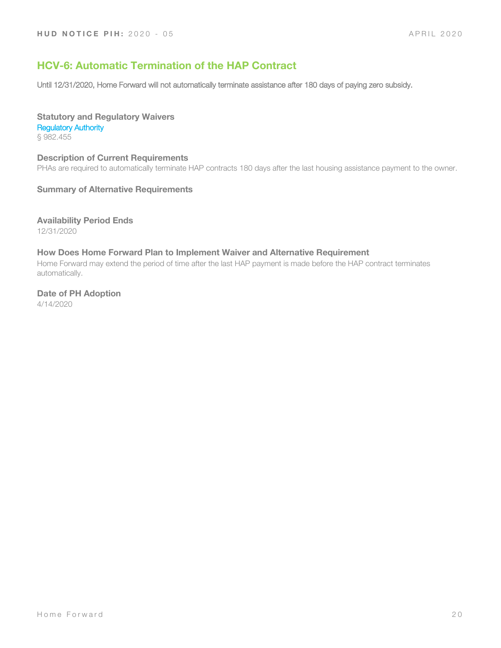# **HCV-6: Automatic Termination of the HAP Contract**

Until 12/31/2020, Home Forward will not automatically terminate assistance after 180 days of paying zero subsidy.

#### **Statutory and Regulatory Waivers** Regulatory Authority § 982.455

**Description of Current Requirements** PHAs are required to automatically terminate HAP contracts 180 days after the last housing assistance payment to the owner.

### **Summary of Alternative Requirements**

**Availability Period Ends**

12/31/2020

# **How Does Home Forward Plan to Implement Waiver and Alternative Requirement**

Home Forward may extend the period of time after the last HAP payment is made before the HAP contract terminates automatically.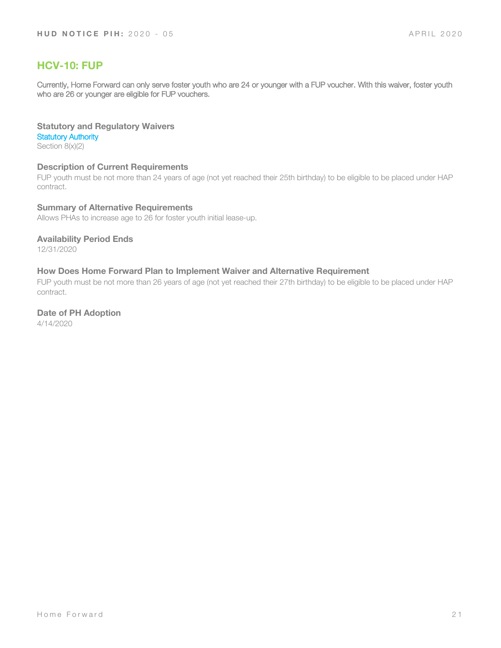# **HCV-10: FUP**

Currently, Home Forward can only serve foster youth who are 24 or younger with a FUP voucher. With this waiver, foster youth who are 26 or younger are eligible for FUP vouchers.

# **Statutory and Regulatory Waivers**

**Statutory Authority** 

Section 8(x)(2)

# **Description of Current Requirements**

FUP youth must be not more than 24 years of age (not yet reached their 25th birthday) to be eligible to be placed under HAP contract.

### **Summary of Alternative Requirements**

Allows PHAs to increase age to 26 for foster youth initial lease-up.

# **Availability Period Ends**

12/31/2020

# **How Does Home Forward Plan to Implement Waiver and Alternative Requirement**

FUP youth must be not more than 26 years of age (not yet reached their 27th birthday) to be eligible to be placed under HAP contract.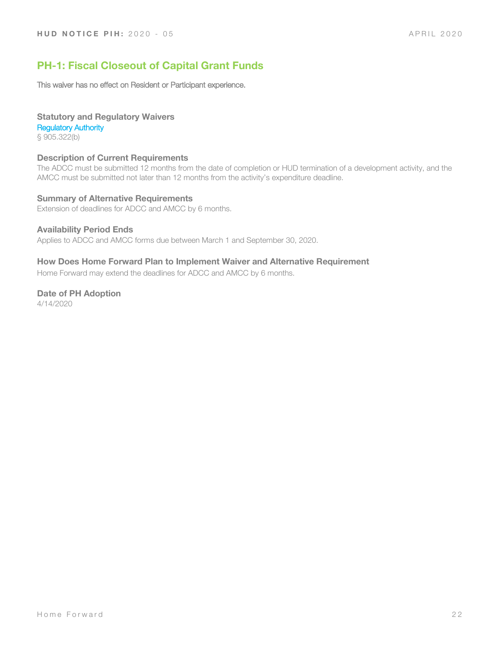# **PH-1: Fiscal Closeout of Capital Grant Funds**

This waiver has no effect on Resident or Participant experience.

# **Statutory and Regulatory Waivers**

Regulatory Authority

§ 905.322(b)

# **Description of Current Requirements**

The ADCC must be submitted 12 months from the date of completion or HUD termination of a development activity, and the AMCC must be submitted not later than 12 months from the activity's expenditure deadline.

# **Summary of Alternative Requirements**

Extension of deadlines for ADCC and AMCC by 6 months.

### **Availability Period Ends**

Applies to ADCC and AMCC forms due between March 1 and September 30, 2020.

# **How Does Home Forward Plan to Implement Waiver and Alternative Requirement**

Home Forward may extend the deadlines for ADCC and AMCC by 6 months.

# **Date of PH Adoption**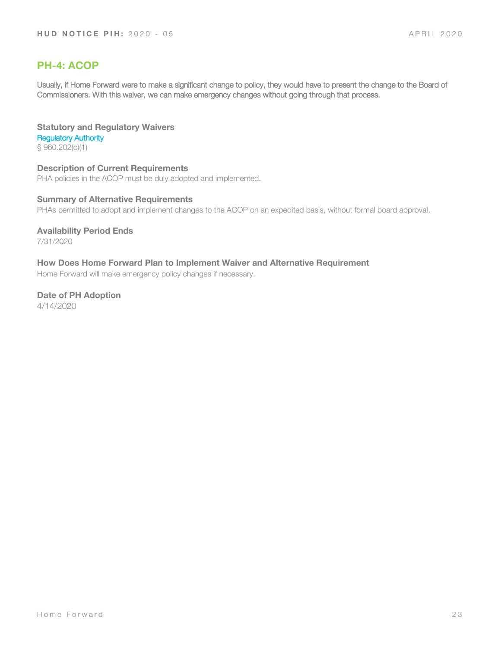# **PH-4: ACOP**

Usually, if Home Forward were to make a significant change to policy, they would have to present the change to the Board of Commissioners. With this waiver, we can make emergency changes without going through that process.

**Statutory and Regulatory Waivers** Regulatory Authority § 960.202(c)(1)

**Description of Current Requirements** PHA policies in the ACOP must be duly adopted and implemented.

**Summary of Alternative Requirements** PHAs permitted to adopt and implement changes to the ACOP on an expedited basis, without formal board approval.

**Availability Period Ends** 7/31/2020

**How Does Home Forward Plan to Implement Waiver and Alternative Requirement** Home Forward will make emergency policy changes if necessary.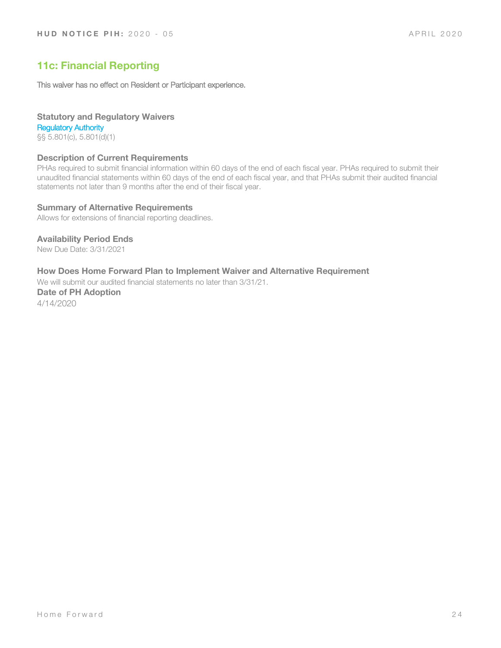# **11c: Financial Reporting**

This waiver has no effect on Resident or Participant experience.

# **Statutory and Regulatory Waivers**

Regulatory Authority §§ 5.801(c), 5.801(d)(1)

# **Description of Current Requirements**

PHAs required to submit financial information within 60 days of the end of each fiscal year. PHAs required to submit their unaudited financial statements within 60 days of the end of each fiscal year, and that PHAs submit their audited financial statements not later than 9 months after the end of their fiscal year.

### **Summary of Alternative Requirements**

Allows for extensions of financial reporting deadlines.

# **Availability Period Ends**

New Due Date: 3/31/2021

# **How Does Home Forward Plan to Implement Waiver and Alternative Requirement**

We will submit our audited financial statements no later than 3/31/21.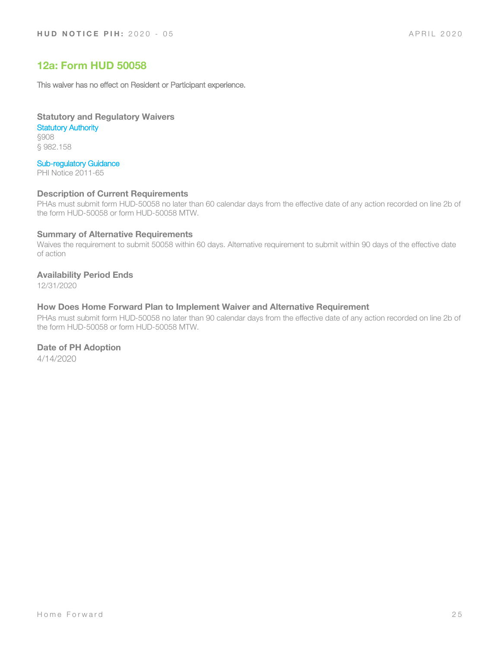# **12a: Form HUD 50058**

This waiver has no effect on Resident or Participant experience.

**Statutory and Regulatory Waivers Statutory Authority** 

§908 § 982.158

# Sub-regulatory Guidance

PHI Notice 2011-65

#### **Description of Current Requirements**

PHAs must submit form HUD-50058 no later than 60 calendar days from the effective date of any action recorded on line 2b of the form HUD-50058 or form HUD-50058 MTW.

#### **Summary of Alternative Requirements**

Waives the requirement to submit 50058 within 60 days. Alternative requirement to submit within 90 days of the effective date of action

# **Availability Period Ends**

12/31/2020

#### **How Does Home Forward Plan to Implement Waiver and Alternative Requirement**

PHAs must submit form HUD-50058 no later than 90 calendar days from the effective date of any action recorded on line 2b of the form HUD-50058 or form HUD-50058 MTW.

# **Date of PH Adoption**